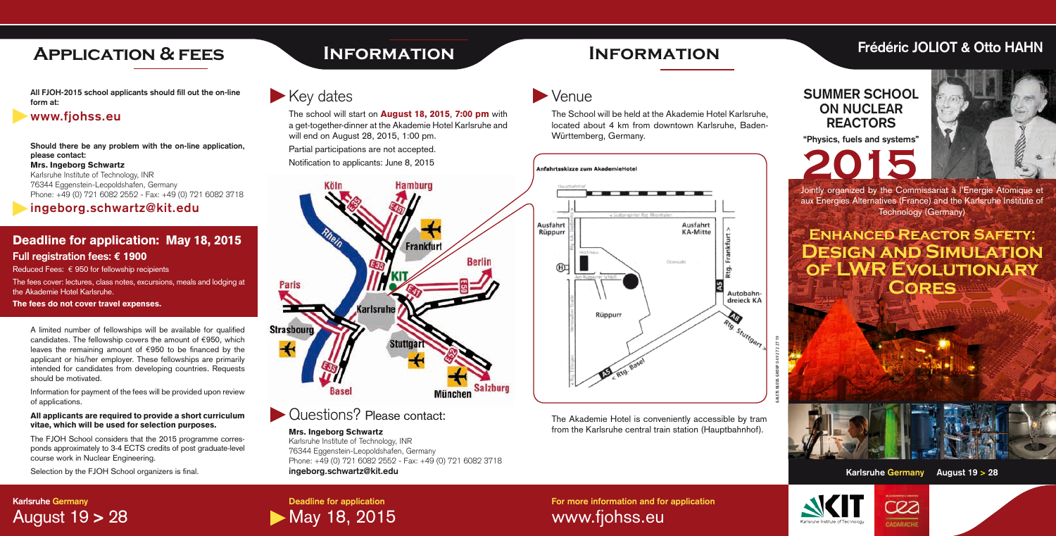## **Frédéric JOLIOT & Otto HAHN**

## **SUMMER SCHOOL ON NUCLEAR REACTORS**

**Deadline for application May 18, 2015**  **"Physics, fuels and systems"**





**For more information and for application** www.fjohss.eu

## **Karlsruhe Germany** August 19 > 28

**All FJOH-2015 school applicants should fill out the on-line form at:**

### Deadline for application: May 18, 2015 **Full registration fees: € 1900**

### **www.fjohss.eu**

**Should there be any problem with the on-line application, please contact:** Mrs. Ingeborg Schwartz

Reduced Fees:  $\epsilon$  950 for fellowship recipients The fees cover: lectures, class notes, excursions, meals and lodging at

Karlsruhe Institute of Technology, INR 76344 Eggenstein-Leopoldshafen, Germany Phone: +49 (0) 721 6082 2552 - Fax: +49 (0) 721 6082 3718

**ingeborg.schwartz@kit.edu**

the Akademie Hotel Karlsruhe.

The fees do not cover travel expenses.

# **Application & fees Information**

# **Enhanced Reactor Safety: Design and Simulation of LWR Evolutionary Cores**

Jointly organized by the Commissariat à l'Energie Atomique et aux Energies Alternatives (France) and the Karlsruhe Institute of Technology (Germany)

# **Information**

Key dates

The School will be held at the Akademie Hotel Karlsruhe, located about 4 km from downtown Karlsruhe, Baden-Württemberg, Germany.



The school will start on **August 18, 2015, 7:00 pm** with a get-together-dinner at the Akademie Hotel Karlsruhe and will end on August 28, 2015, 1:00 pm. Partial participations are not accepted.

A limited number of fellowships will be available for qualified candidates. The fellowship covers the amount of  $\epsilon$ 950, which leaves the remaining amount of  $\epsilon$ 950 to be financed by the applicant or his/her employer. These fellowships are primarily intended for candidates from developing countries. Requests should be motivated.

Information for payment of the fees will be provided upon review of applications.

#### All applicants are required to provide a short curriculum vitae, which will be used for selection purposes.

The FJOH School considers that the 2015 programme corresponds approximately to 3-4 ECTS credits of post graduate-level course work in Nuclear Engineering.

Selection by the FJOH School organizers is final.

### Mrs. Ingeborg Schwartz

Karlsruhe Institute of Technology, INR 76344 Eggenstein-Leopoldshafen, Germany Phone: +49 (0) 721 6082 2552 - Fax: +49 (0) 721 6082 3718 **ingeborg.schwartz@kit.edu**

# **Venue**

Notification to applicants: June 8, 2015



**Questions? Please contact:** 







The Akademie Hotel is conveniently accessible by tram from the Karlsruhe central train station (Hauptbahnhof).